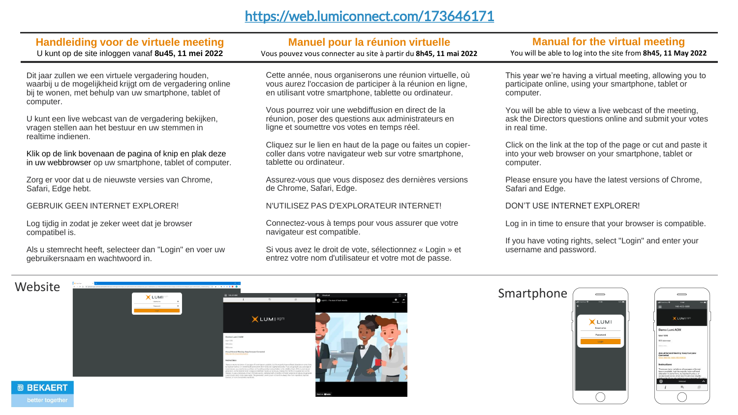### <https://web.lumiconnect.com/173646171>

### **Handleiding voor de virtuele meeting**

U kunt op de site inloggen vanaf **8u45, 11 mei 2022**

Dit jaar zullen we een virtuele vergadering houden, waarbij u de mogelijkheid krijgt om de vergadering online bij te wonen, met behulp van uw smartphone, tablet of computer.

U kunt een live webcast van de vergadering bekijken, vragen stellen aan het bestuur en uw stemmen in realtime indienen.

Klik op de link bovenaan de pagina of knip en plak deze in uw webbrowser op uw smartphone, tablet of computer.

Zorg er voor dat u de nieuwste versies van Chrome, Safari, Edge hebt.

GEBRUIK GEEN INTERNET EXPLORER!

Log tijdig in zodat je zeker weet dat je browser compatibel is.

Als u stemrecht heeft, selecteer dan "Login" en voer uw gebruikersnaam en wachtwoord in.

### **Manuel pour la réunion virtuelle**

Vous pouvez vous connecter au site à partir du **8h45, 11 mai 2022**

Cette année, nous organiserons une réunion virtuelle, où vous aurez l'occasion de participer à la réunion en ligne, en utilisant votre smartphone, tablette ou ordinateur.

Vous pourrez voir une webdiffusion en direct de la réunion, poser des questions aux administrateurs en ligne et soumettre vos votes en temps réel.

Cliquez sur le lien en haut de la page ou faites un copiercoller dans votre navigateur web sur votre smartphone, tablette ou ordinateur.

Assurez-vous que vous disposez des dernières versions de Chrome, Safari, Edge.

#### N'UTILISEZ PAS D'EXPLORATEUR INTERNET!

Connectez-vous à temps pour vous assurer que votre navigateur est compatible.

Si vous avez le droit de vote, sélectionnez « Login » et entrez votre nom d'utilisateur et votre mot de passe.

### **Manual for the virtual meeting**

You will be able to log into the site from **8h45, 11 May 2022**

This year we're having a virtual meeting, allowing you to participate online, using your smartphone, tablet or computer.

You will be able to view a live webcast of the meeting, ask the Directors questions online and submit your votes in real time.

Click on the link at the top of the page or cut and paste it into your web browser on your smartphone, tablet or computer.

Please ensure you have the latest versions of Chrome, Safari and Edge.

DON'T USE INTERNET EXPLORER!

Log in in time to ensure that your browser is compatible.

If you have voting rights, select "Login" and enter your username and password.

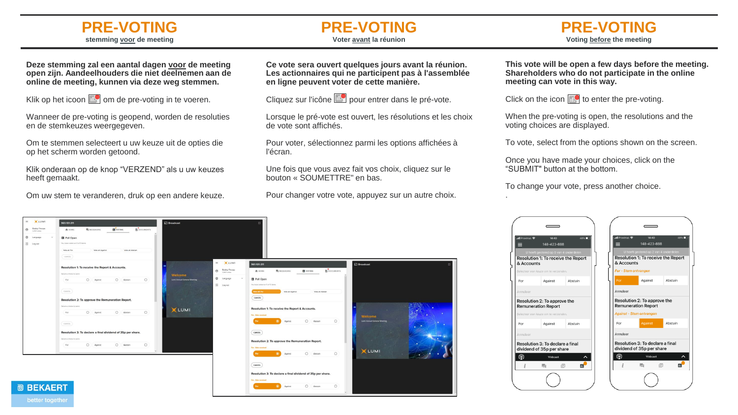### **PRE-VOTING stemming voor de meeting**

### **PRE-VOTING Voter avant la réunion**

**Deze stemming zal een aantal dagen voor de meeting open zijn. Aandeelhouders die niet deelnemen aan de online de meeting, kunnen via deze weg stemmen.**

Klik op het icoon  $\mathbb{E}$  om de pre-voting in te voeren.

Wanneer de pre-voting is geopend, worden de resoluties en de stemkeuzes weergegeven.

Om te stemmen selecteert u uw keuze uit de opties die op het scherm worden getoond.

Klik onderaan op de knop "VERZEND" als u uw keuzes heeft gemaakt.

Om uw stem te veranderen, druk op een andere keuze.

**Ce vote sera ouvert quelques jours avant la réunion. Les actionnaires qui ne participent pas à l'assemblée en ligne peuvent voter de cette manière.**

Cliquez sur l'icône **pour entrer dans le pré-vote**.

Lorsque le pré-vote est ouvert, les résolutions et les choix de vote sont affichés.

Pour voter, sélectionnez parmi les options affichées à l'écran.

Une fois que vous avez fait vos choix, cliquez sur le bouton « SOUMETTRE" en bas.

Pour changer votre vote, appuyez sur un autre choix.

**This vote will be open a few days before the meeting. Shareholders who do not participate in the online meeting can vote in this way.**

Click on the icon  $\mathbb{R}$  to enter the pre-voting.

When the pre-voting is open, the resolutions and the voting choices are displayed.

To vote, select from the options shown on the screen.

Once you have made your choices, click on the "SUBMIT" button at the bottom.

To change your vote, press another choice. .



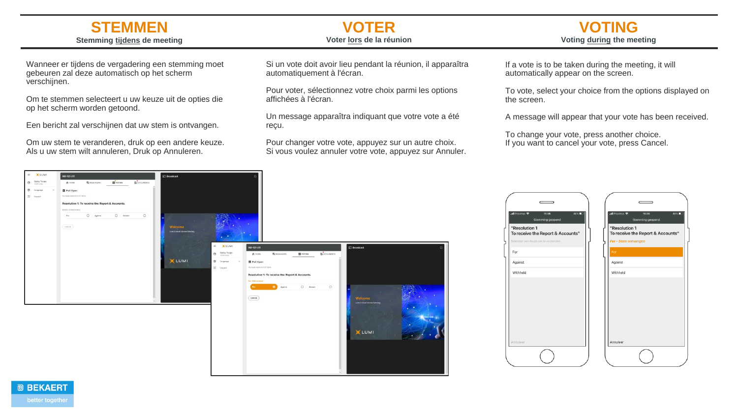### **STEMMEN Stemming tijdens de meeting**

Wanneer er tijdens de vergadering een stemming moet gebeuren zal deze automatisch op het scherm verschijnen.

Om te stemmen selecteert u uw keuze uit de opties die op het scherm worden getoond.

Een bericht zal verschijnen dat uw stem is ontvangen.

Om uw stem te veranderen, druk op een andere keuze. Als u uw stem wilt annuleren, Druk op Annuleren.

#### **VOTER Voter lors de la réunion**

Si un vote doit avoir lieu pendant la réunion, il apparaîtra automatiquement à l'écran.

Pour voter, sélectionnez votre choix parmi les options affichées à l'écran.

Un message apparaîtra indiquant que votre vote a été reçu.

Pour changer votre vote, appuyez sur un autre choix. Si vous voulez annuler votre vote, appuyez sur Annuler. If a vote is to be taken during the meeting, it will automatically appear on the screen.

To vote, select your choice from the options displayed on the screen.

**VOTING Voting during the meeting**

A message will appear that your vote has been received.

To change your vote, press another choice. If you want to cancel your vote, press Cancel.







 $X + 11M$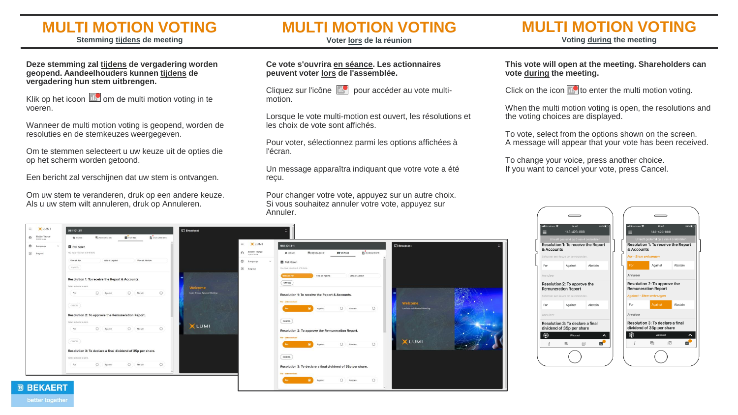## **MULTI MOTION VOTING**

**Stemming tijdens de meeting**

**Deze stemming zal tijdens de vergadering worden geopend. Aandeelhouders kunnen tijdens de** 

Klik op het icoon  $\mathbb{R}$  om de multi motion voting in te

Wanneer de multi motion voting is geopend, worden de

Om te stemmen selecteert u uw keuze uit de opties die

Een bericht zal verschijnen dat uw stem is ontvangen.

Om uw stem te veranderen, druk op een andere keuze. Als u uw stem wilt annuleren, druk op Annuleren.

**vergadering hun stem uitbrengen.**

op het scherm worden getoond.

resoluties en de stemkeuzes weergegeven.

voeren.

**@ BEKAERT** 

**MULTI MOTION VOTING**

**Voter lors de la réunion**

#### **Ce vote s'ouvrira en séance. Les actionnaires peuvent voter lors de l'assemblée.**

Cliquez sur l'icône **pour accéder** au vote multimotion.

Lorsque le vote multi-motion est ouvert, les résolutions et les choix de vote sont affichés.

Pour voter, sélectionnez parmi les options affichées à l'écran.

Un message apparaîtra indiquant que votre vote a été reçu.

Pour changer votre vote, appuyez sur un autre choix. Si vous souhaitez annuler votre vote, appuyez sur Annuler.

 $\circ$ 

#### **This vote will open at the meeting. Shareholders can vote during the meeting.**

Click on the icon  $\mathbb{R}^{\bullet}$  to enter the multi motion voting.

When the multi motion voting is open, the resolutions and the voting choices are displayed.

To vote, select from the options shown on the screen. A message will appear that your vote has been received.

To change your voice, press another choice. If you want to cancel your vote, press Cancel.





**MULTI MOTION VOTING Voting during the meeting**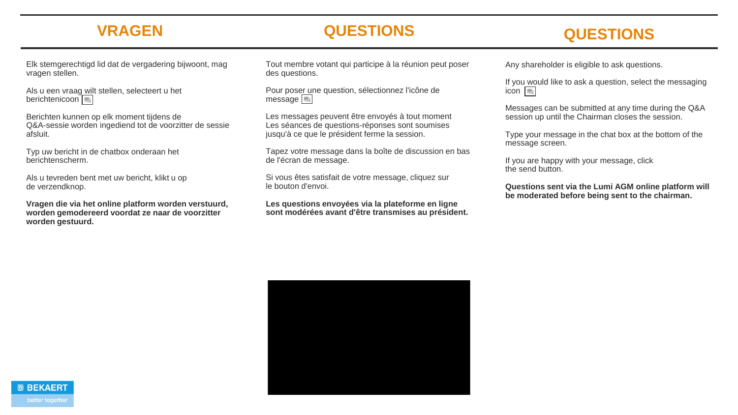## **VRAGEN**

## **QUESTIONS**

# **QUESTIONS**

Elk stemgerechtigd lid dat de vergadering bijwoont, mag vragen stellen.

Als u een vraag wilt stellen, selecteert u het berichtenicoon

Berichten kunnen op elk moment tijdens de Q&A-sessie worden ingediend tot de voorzitter de sessie afsluit.

Typ uw bericht in de chatbox onderaan het berichtenscherm.

Als u tevreden bent met uw bericht, klikt u op de verzendknop.

**Vragen die via het online platform worden verstuurd, worden gemodereerd voordat ze naar de voorzitter worden gestuurd.**

Tout membre votant qui participe à la réunion peut poser des questions.

Pour poser une question, sélectionnez l'icône de message |

Les messages peuvent être envoyés à tout moment Les séances de questions-réponses sont soumises jusqu'à ce que le président ferme la session.

Tapez votre message dans la boîte de discussion en bas de l'écran de message.

Si vous êtes satisfait de votre message, cliquez sur le bouton d'envoi.

**Les questions envoyées via la plateforme en ligne sont modérées avant d'être transmises au président.** Any shareholder is eligible to ask questions.

If you would like to ask a question, select the messaging icon  $\boxed{=}$ 

Messages can be submitted at any time during the Q&A session up until the Chairman closes the session.

Type your message in the chat box at the bottom of the message screen.

If you are happy with your message, click the send button.

**Questions sent via the Lumi AGM online platform will be moderated before being sent to the chairman.**